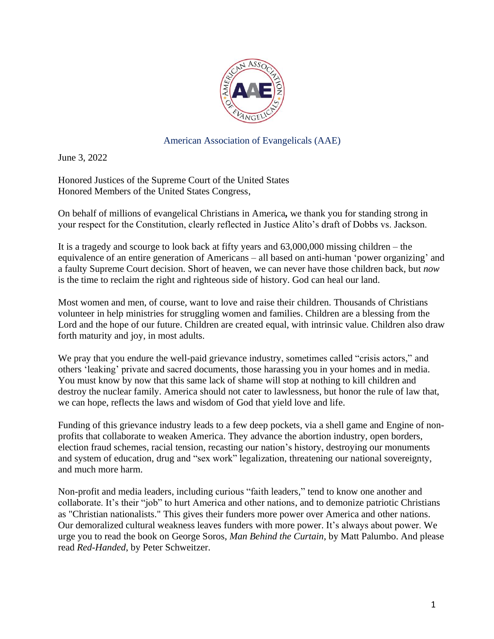

American Association of Evangelicals (AAE)

June 3, 2022

Honored Justices of the Supreme Court of the United States Honored Members of the United States Congress,

On behalf of millions of evangelical Christians in America*,* we thank you for standing strong in your respect for the Constitution, clearly reflected in Justice Alito's draft of Dobbs vs. Jackson.

It is a tragedy and scourge to look back at fifty years and 63,000,000 missing children – the equivalence of an entire generation of Americans – all based on anti-human 'power organizing' and a faulty Supreme Court decision. Short of heaven, we can never have those children back, but *now* is the time to reclaim the right and righteous side of history. God can heal our land.

Most women and men, of course, want to love and raise their children. Thousands of Christians volunteer in help ministries for struggling women and families. Children are a blessing from the Lord and the hope of our future. Children are created equal, with intrinsic value. Children also draw forth maturity and joy, in most adults.

We pray that you endure the well-paid grievance industry, sometimes called "crisis actors," and others 'leaking' private and sacred documents, those harassing you in your homes and in media. You must know by now that this same lack of shame will stop at nothing to kill children and destroy the nuclear family. America should not cater to lawlessness, but honor the rule of law that, we can hope, reflects the laws and wisdom of God that yield love and life.

Funding of this grievance industry leads to a few deep pockets, via a shell game and Engine of nonprofits that collaborate to weaken America. They advance the abortion industry, open borders, election fraud schemes, racial tension, recasting our nation's history, destroying our monuments and system of education, drug and "sex work" legalization, threatening our national sovereignty, and much more harm.

Non-profit and media leaders, including curious "faith leaders," tend to know one another and collaborate. It's their "job" to hurt America and other nations, and to demonize patriotic Christians as "Christian nationalists." This gives their funders more power over America and other nations. Our demoralized cultural weakness leaves funders with more power. It's always about power. We urge you to read the book on George Soros, *Man Behind the Curtain*, by Matt Palumbo. And please read *Red-Handed*, by Peter Schweitzer.